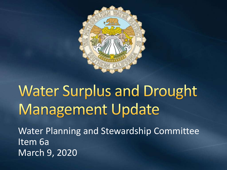

# **Water Surplus and Drought Management Update**

Water Planning and Stewardship Committee Item 6a March 9, 2020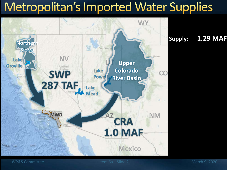### Metropolitan's Imported Water Supplies



**Supply: 1.29 MAF**

WP&S Committee The Item 6a Slide 2 March 9, 2020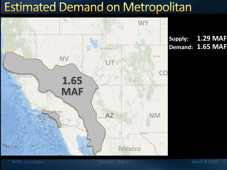#### Estimated Demand on Metropolitan



**Supply: 1.29 MAF Demand: 1.65 MAF**

WP&S Committee The Item 6a Slide 3 March 9, 2020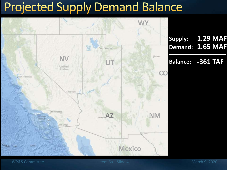#### **Projected Supply Demand Balance**



**Supply: Demand: 1.65 MAF 1.29 MAF**

**Balance: -361 TAF**

WP&S Committee The Item 6a Slide 4 March 9, 2020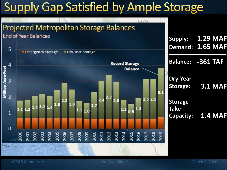## **Supply Gap Satisfied by Ample Storage**



WP&S Committee **Item 6a** Slide 5 March 9, 2020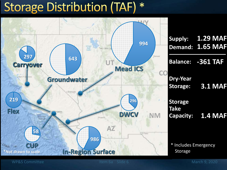## Storage Distribution (TAF) \*

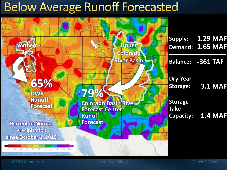#### **Below Average Runoff Forecasted**

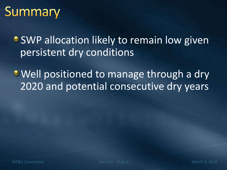## Summary

**• SWP allocation likely to remain low given** persistent dry conditions

• Well positioned to manage through a dry 2020 and potential consecutive dry years